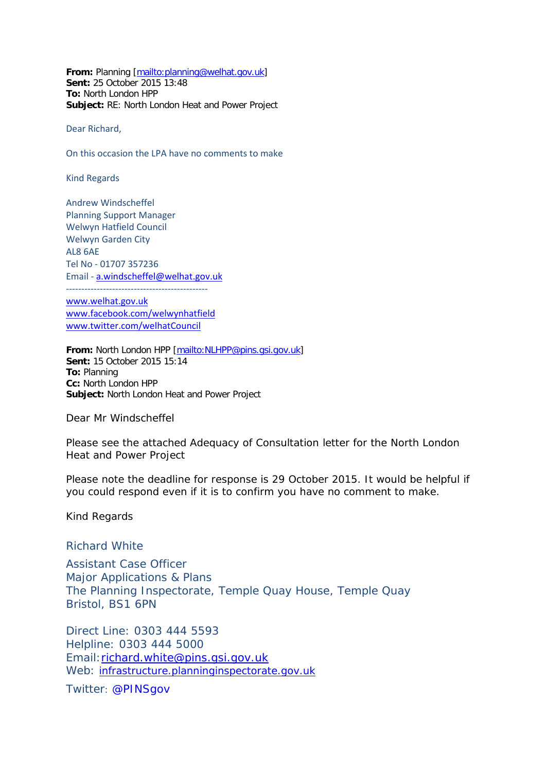**From:** Planning [\[mailto:planning@welhat.gov.uk\]](mailto:planning@welhat.gov.uk) **Sent:** 25 October 2015 13:48 **To:** North London HPP **Subject:** RE: North London Heat and Power Project

Dear Richard,

On this occasion the LPA have no comments to make

Kind Regards

Andrew Windscheffel Planning Support Manager Welwyn Hatfield Council Welwyn Garden City AL8 6AE Tel No - 01707 357236 Email - [a.windscheffel@welhat.gov.uk](mailto:a.windscheffel@welhat.gov.uk)

--------------------------------------------- [www.welhat.gov.uk](http://www.welhat.gov.uk/) [www.facebook.com/welwynhatfield](http://www.facebook.com/welwynhatfield) [www.twitter.com/welhatCouncil](http://www.twitter.com/welhatCouncil)

**From:** North London HPP [\[mailto:NLHPP@pins.gsi.gov.uk\]](mailto:NLHPP@pins.gsi.gov.uk) **Sent:** 15 October 2015 15:14 **To:** Planning **Cc:** North London HPP **Subject:** North London Heat and Power Project

Dear Mr Windscheffel

Please see the attached Adequacy of Consultation letter for the North London Heat and Power Project

Please note the deadline for response is 29 October 2015. It would be helpful if you could respond even if it is to confirm you have no comment to make.

Kind Regards

Richard White

Assistant Case Officer Major Applications & Plans The Planning Inspectorate, Temple Quay House, Temple Quay Bristol, BS1 6PN

Direct Line: 0303 444 5593 Helpline: 0303 444 5000 Email[:richard.white@pins.gsi.gov.uk](mailto:richard.white@pins.gsi.gov.uk) Web: [infrastructure.planninginspectorate.gov.uk](http://infrastructure.planninginspectorate.gov.uk/)

Twitter: @PINSgov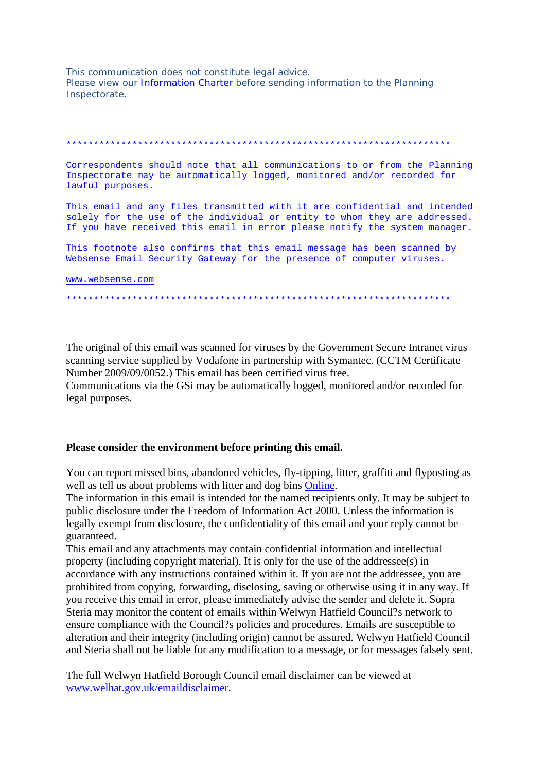This communication does not constitute legal advice. Please view our Information Charter before sending information to the Planning Inspectorate.

Correspondents should note that all communications to or from the Planning Inspectorate may be automatically logged, monitored and/or recorded for lawful purposes. This email and any files transmitted with it are confidential and intended solely for the use of the individual or entity to whom they are addressed. If you have received this email in error please notify the system manager. This footnote also confirms that this email message has been scanned by Websense Email Security Gateway for the presence of computer viruses.

www.websense.com

The original of this email was scanned for viruses by the Government Secure Intranet virus scanning service supplied by Vodafone in partnership with Symantec. (CCTM Certificate Number 2009/09/0052.) This email has been certified virus free. Communications via the GSi may be automatically logged, monitored and/or recorded for legal purposes.

## Please consider the environment before printing this email.

You can report missed bins, abandoned vehicles, fly-tipping, litter, graffiti and flyposting as well as tell us about problems with litter and dog bins Online.

The information in this email is intended for the named recipients only. It may be subject to public disclosure under the Freedom of Information Act 2000. Unless the information is legally exempt from disclosure, the confidentiality of this email and your reply cannot be guaranteed.

This email and any attachments may contain confidential information and intellectual property (including copyright material). It is only for the use of the addressee(s) in accordance with any instructions contained within it. If you are not the addressee, you are prohibited from copying, forwarding, disclosing, saving or otherwise using it in any way. If you receive this email in error, please immediately advise the sender and delete it. Sopra Steria may monitor the content of emails within Welwyn Hatfield Council?s network to ensure compliance with the Council?s policies and procedures. Emails are susceptible to alteration and their integrity (including origin) cannot be assured. Welwyn Hatfield Council and Steria shall not be liable for any modification to a message, or for messages falsely sent.

The full Welwyn Hatfield Borough Council email disclaimer can be viewed at www.welhat.gov.uk/emaildisclaimer.